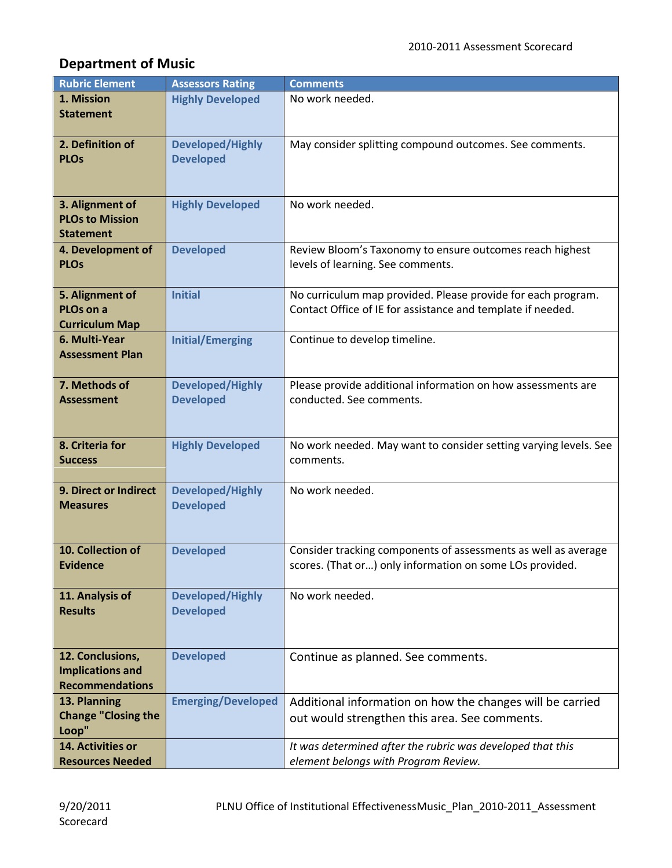## **Department of Music**

| <b>Rubric Element</b>                             | <b>Assessors Rating</b>   | <b>Comments</b>                                                  |
|---------------------------------------------------|---------------------------|------------------------------------------------------------------|
| 1. Mission                                        | <b>Highly Developed</b>   | No work needed.                                                  |
| <b>Statement</b>                                  |                           |                                                                  |
|                                                   |                           |                                                                  |
| 2. Definition of                                  | <b>Developed/Highly</b>   | May consider splitting compound outcomes. See comments.          |
| <b>PLOs</b>                                       | <b>Developed</b>          |                                                                  |
|                                                   |                           |                                                                  |
| 3. Alignment of                                   |                           | No work needed.                                                  |
| <b>PLOs to Mission</b>                            | <b>Highly Developed</b>   |                                                                  |
| <b>Statement</b>                                  |                           |                                                                  |
| 4. Development of                                 | <b>Developed</b>          | Review Bloom's Taxonomy to ensure outcomes reach highest         |
| <b>PLOs</b>                                       |                           | levels of learning. See comments.                                |
|                                                   |                           |                                                                  |
| 5. Alignment of                                   | <b>Initial</b>            | No curriculum map provided. Please provide for each program.     |
| PLO <sub>s</sub> on a                             |                           | Contact Office of IE for assistance and template if needed.      |
| <b>Curriculum Map</b>                             |                           |                                                                  |
| 6. Multi-Year                                     | <b>Initial/Emerging</b>   | Continue to develop timeline.                                    |
| <b>Assessment Plan</b>                            |                           |                                                                  |
| 7. Methods of                                     | <b>Developed/Highly</b>   | Please provide additional information on how assessments are     |
| <b>Assessment</b>                                 | <b>Developed</b>          | conducted. See comments.                                         |
|                                                   |                           |                                                                  |
|                                                   |                           |                                                                  |
| 8. Criteria for                                   | <b>Highly Developed</b>   | No work needed. May want to consider setting varying levels. See |
| <b>Success</b>                                    |                           | comments.                                                        |
|                                                   |                           |                                                                  |
| 9. Direct or Indirect                             | <b>Developed/Highly</b>   | No work needed.                                                  |
| <b>Measures</b>                                   | <b>Developed</b>          |                                                                  |
|                                                   |                           |                                                                  |
| 10. Collection of                                 | <b>Developed</b>          | Consider tracking components of assessments as well as average   |
| <b>Evidence</b>                                   |                           | scores. (That or) only information on some LOs provided.         |
|                                                   |                           |                                                                  |
| 11. Analysis of                                   | <b>Developed/Highly</b>   | No work needed.                                                  |
| <b>Results</b>                                    | <b>Developed</b>          |                                                                  |
|                                                   |                           |                                                                  |
|                                                   |                           |                                                                  |
| 12. Conclusions,                                  | <b>Developed</b>          | Continue as planned. See comments.                               |
| <b>Implications and</b><br><b>Recommendations</b> |                           |                                                                  |
| 13. Planning                                      | <b>Emerging/Developed</b> | Additional information on how the changes will be carried        |
| <b>Change "Closing the</b>                        |                           | out would strengthen this area. See comments.                    |
| Loop"                                             |                           |                                                                  |
| 14. Activities or                                 |                           | It was determined after the rubric was developed that this       |
| <b>Resources Needed</b>                           |                           | element belongs with Program Review.                             |